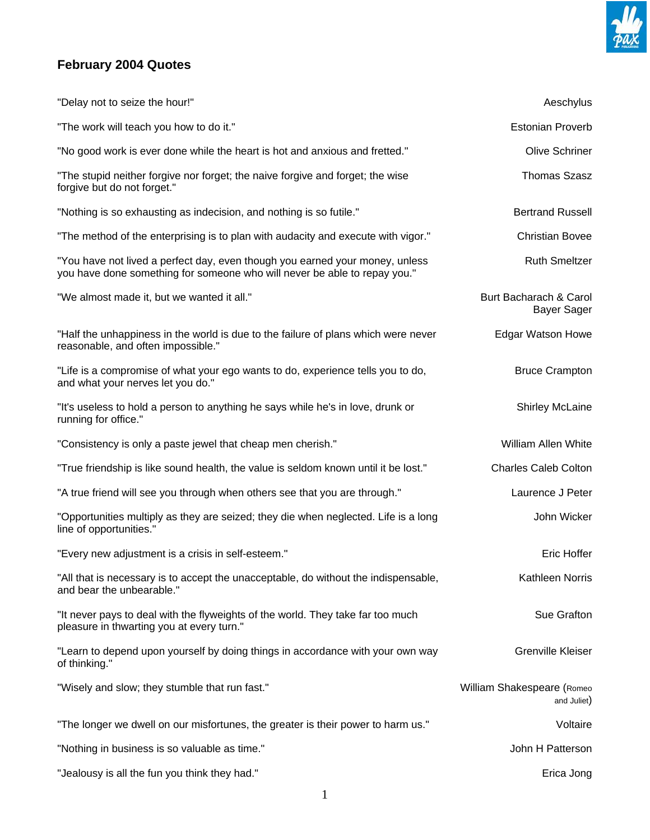

## **February 2004 Quotes**

| "Delay not to seize the hour!"                                                                                                                            | Aeschylus                                 |
|-----------------------------------------------------------------------------------------------------------------------------------------------------------|-------------------------------------------|
| "The work will teach you how to do it."                                                                                                                   | <b>Estonian Proverb</b>                   |
| "No good work is ever done while the heart is hot and anxious and fretted."                                                                               | <b>Olive Schriner</b>                     |
| "The stupid neither forgive nor forget; the naive forgive and forget; the wise<br>forgive but do not forget."                                             | <b>Thomas Szasz</b>                       |
| "Nothing is so exhausting as indecision, and nothing is so futile."                                                                                       | <b>Bertrand Russell</b>                   |
| "The method of the enterprising is to plan with audacity and execute with vigor."                                                                         | <b>Christian Bovee</b>                    |
| "You have not lived a perfect day, even though you earned your money, unless<br>you have done something for someone who will never be able to repay you." | <b>Ruth Smeltzer</b>                      |
| "We almost made it, but we wanted it all."                                                                                                                | Burt Bacharach & Carol<br>Bayer Sager     |
| "Half the unhappiness in the world is due to the failure of plans which were never<br>reasonable, and often impossible."                                  | <b>Edgar Watson Howe</b>                  |
| "Life is a compromise of what your ego wants to do, experience tells you to do,<br>and what your nerves let you do."                                      | <b>Bruce Crampton</b>                     |
| "It's useless to hold a person to anything he says while he's in love, drunk or<br>running for office."                                                   | <b>Shirley McLaine</b>                    |
| "Consistency is only a paste jewel that cheap men cherish."                                                                                               | <b>William Allen White</b>                |
| "True friendship is like sound health, the value is seldom known until it be lost."                                                                       | <b>Charles Caleb Colton</b>               |
| "A true friend will see you through when others see that you are through."                                                                                | Laurence J Peter                          |
| "Opportunities multiply as they are seized; they die when neglected. Life is a long<br>line of opportunities."                                            | John Wicker                               |
| "Every new adjustment is a crisis in self-esteem."                                                                                                        | <b>Eric Hoffer</b>                        |
| "All that is necessary is to accept the unacceptable, do without the indispensable,<br>and bear the unbearable."                                          | Kathleen Norris                           |
| "It never pays to deal with the flyweights of the world. They take far too much<br>pleasure in thwarting you at every turn."                              | Sue Grafton                               |
| "Learn to depend upon yourself by doing things in accordance with your own way<br>of thinking."                                                           | <b>Grenville Kleiser</b>                  |
| "Wisely and slow; they stumble that run fast."                                                                                                            | William Shakespeare (Romeo<br>and Juliet) |
| "The longer we dwell on our misfortunes, the greater is their power to harm us."                                                                          | Voltaire                                  |
| "Nothing in business is so valuable as time."                                                                                                             | John H Patterson                          |
| "Jealousy is all the fun you think they had."                                                                                                             | Erica Jong                                |